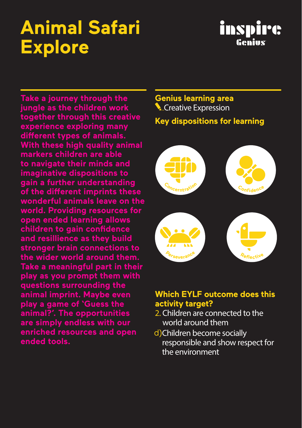# **Animal Safari Explore**

### inspirc Genius

**Take a journey through the jungle as the children work together through this creative experience exploring many different types of animals. With these high quality animal markers children are able to navigate their minds and imaginative dispositions to gain a further understanding of the different imprints these wonderful animals leave on the world. Providing resources for open ended learning allows children to gain confidence and resillience as they build stronger brain connections to the wider world around them. Take a meaningful part in their play as you prompt them with questions surrounding the animal imprint. Maybe even play a game of 'Guess the animal?'. The opportunities are simply endless with our enriched resources and open ended tools.**

### **Genius learning area Creative Expression Key dispositions for learning**



#### **Which EYLF outcome does this activity target?**

- 2. Children are connected to the world around them
- d) Children become socially responsible and show respect for the environment